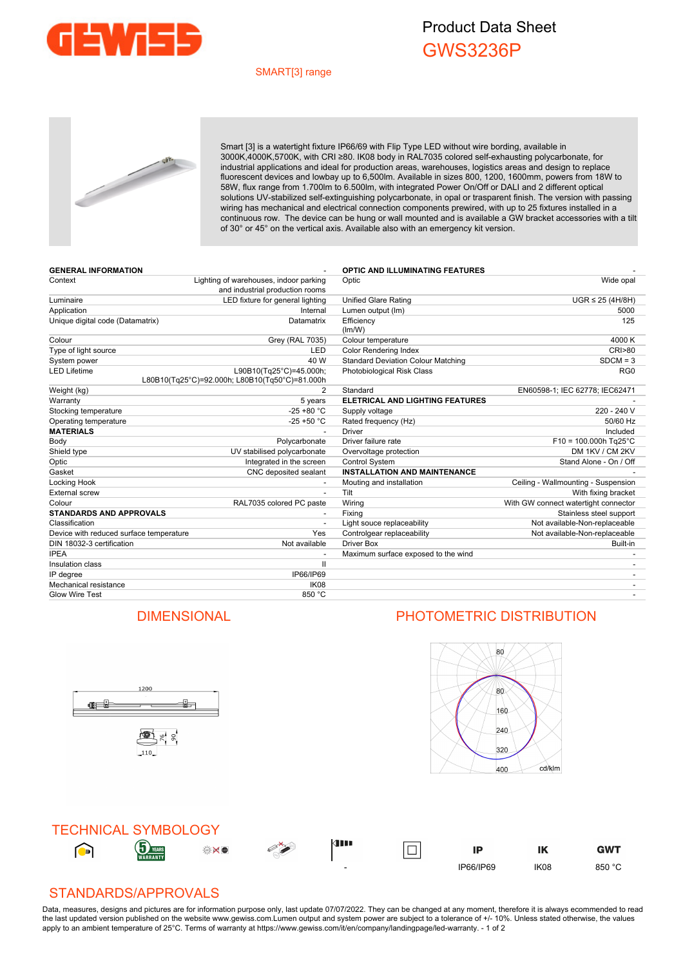

## Product Data Sheet GWS3236P

#### SMART[3] range



Smart [3] is a watertight fixture IP66/69 with Flip Type LED without wire bording, available in 3000K,4000K,5700K, with CRI ≥80. IK08 body in RAL7035 colored self-exhausting polycarbonate, for industrial applications and ideal for production areas, warehouses, logistics areas and design to replace fluorescent devices and lowbay up to 6,500lm. Available in sizes 800, 1200, 1600mm, powers from 18W to 58W, flux range from 1.700lm to 6.500lm, with integrated Power On/Off or DALI and 2 different optical solutions UV-stabilized self-extinguishing polycarbonate, in opal or trasparent finish. The version with passing wiring has mechanical and electrical connection components prewired, with up to 25 fixtures installed in a continuous row. The device can be hung or wall mounted and is available a GW bracket accessories with a tilt of 30° or 45° on the vertical axis. Available also with an emergency kit version.

| <b>GENERAL INFORMATION</b>              |                                                                           | <b>OPTIC AND ILLUMINATING FEATURES</b>    |                                      |
|-----------------------------------------|---------------------------------------------------------------------------|-------------------------------------------|--------------------------------------|
| Context                                 | Lighting of warehouses, indoor parking<br>and industrial production rooms | Optic                                     | Wide opal                            |
| Luminaire                               | LED fixture for general lighting                                          | <b>Unified Glare Rating</b>               | $UGR \leq 25$ (4H/8H)                |
| Application                             | Internal                                                                  | Lumen output (Im)                         | 5000                                 |
| Unique digital code (Datamatrix)        | Datamatrix                                                                | Efficiency<br>(lm/W)                      | 125                                  |
| Colour                                  | <b>Grey (RAL 7035)</b>                                                    | Colour temperature                        | 4000 K                               |
| Type of light source                    | LED                                                                       | <b>Color Rendering Index</b>              | CRI>80                               |
| System power                            | 40 W                                                                      | <b>Standard Deviation Colour Matching</b> | $SDCM = 3$                           |
| <b>LED Lifetime</b>                     | L90B10(Tg25°C)=45.000h;<br>L80B10(Tq25°C)=92.000h; L80B10(Tq50°C)=81.000h | Photobiological Risk Class                | RG <sub>0</sub>                      |
| Weight (kg)                             | $\overline{2}$                                                            | Standard                                  | EN60598-1; IEC 62778; IEC62471       |
| Warranty                                | 5 years                                                                   | ELETRICAL AND LIGHTING FEATURES           |                                      |
| Stocking temperature                    | $-25 + 80 °C$                                                             | Supply voltage                            | 220 - 240 V                          |
| Operating temperature                   | $-25 + 50 °C$                                                             | Rated frequency (Hz)                      | 50/60 Hz                             |
| <b>MATERIALS</b>                        |                                                                           | <b>Driver</b>                             | Included                             |
| Body                                    | Polycarbonate                                                             | Driver failure rate                       | $F10 = 100.000h$ Tg25°C              |
| Shield type                             | UV stabilised polycarbonate                                               | Overvoltage protection                    | DM 1KV / CM 2KV                      |
| Optic                                   | Integrated in the screen                                                  | <b>Control System</b>                     | Stand Alone - On / Off               |
| Gasket                                  | CNC deposited sealant                                                     | <b>INSTALLATION AND MAINTENANCE</b>       |                                      |
| Locking Hook                            |                                                                           | Mouting and installation                  | Ceiling - Wallmounting - Suspension  |
| <b>External screw</b>                   | $\overline{\phantom{a}}$                                                  | Tilt                                      | With fixing bracket                  |
| Colour                                  | RAL7035 colored PC paste                                                  | Wiring                                    | With GW connect watertight connector |
| <b>STANDARDS AND APPROVALS</b>          |                                                                           | Fixing                                    | Stainless steel support              |
| Classification                          |                                                                           | Light souce replaceability                | Not available-Non-replaceable        |
| Device with reduced surface temperature | Yes                                                                       | Controlgear replaceability                | Not available-Non-replaceable        |
| DIN 18032-3 certification               | Not available                                                             | <b>Driver Box</b>                         | Built-in                             |
| <b>IPEA</b>                             |                                                                           | Maximum surface exposed to the wind       |                                      |
| Insulation class                        | $\mathsf{I}$                                                              |                                           |                                      |
| IP degree                               | IP66/IP69                                                                 |                                           |                                      |
| Mechanical resistance                   | IK <sub>08</sub>                                                          |                                           |                                      |
| <b>Glow Wire Test</b>                   | 850 °C                                                                    |                                           |                                      |

### DIMENSIONAL PHOTOMETRIC DISTRIBUTION

ů.

1200

雪片。

110

<u>ge j</u>



**GWT** 



#### STANDARDS/APPROVALS

Data, measures, designs and pictures are for information purpose only, last update 07/07/2022. They can be changed at any moment, therefore it is always ecommended to read the last updated version published on the website www.gewiss.com.Lumen output and system power are subject to a tolerance of +/- 10%. Unless stated otherwise, the values apply to an ambient temperature of 25°C. Terms of warranty at https://www.gewiss.com/it/en/company/landingpage/led-warranty. - 1 of 2